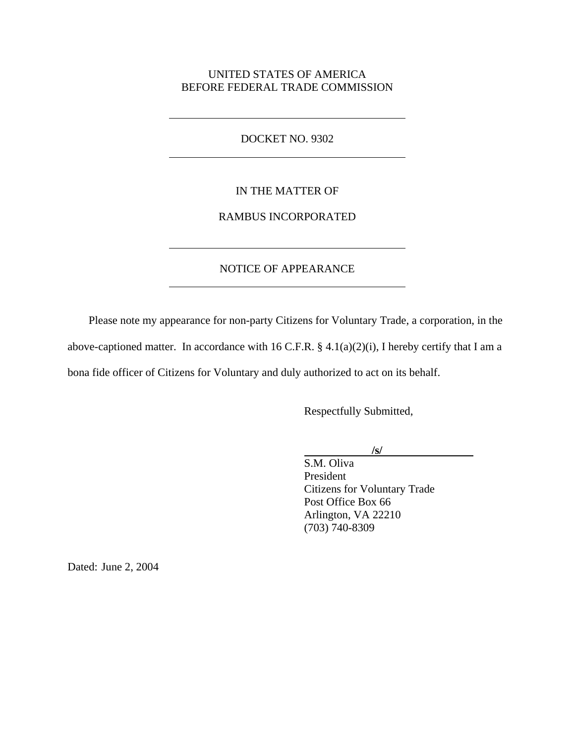### UNITED STATES OF AMERICA BEFORE FEDERAL TRADE COMMISSION

#### DOCKET NO. 9302

 $\overline{a}$ 

 $\overline{a}$ 

 $\overline{a}$ 

 $\overline{a}$ 

### IN THE MATTER OF

# RAMBUS INCORPORATED

# NOTICE OF APPEARANCE

Please note my appearance for non-party Citizens for Voluntary Trade, a corporation, in the above-captioned matter. In accordance with 16 C.F.R.  $\S$  4.1(a)(2)(i), I hereby certify that I am a bona fide officer of Citizens for Voluntary and duly authorized to act on its behalf.

Respectfully Submitted,

### **/s/**

S.M. Oliva President Citizens for Voluntary Trade Post Office Box 66 Arlington, VA 22210 (703) 740-8309

Dated: June 2, 2004